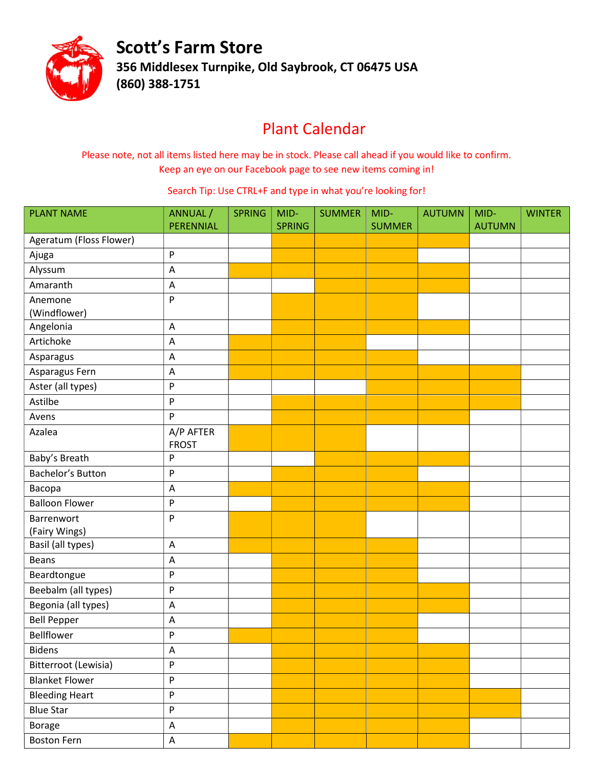

Scott's Farm Store 356 Middlesex Turnpike, Old Saybrook, CT 06475 USA (860) 388-1751

## Plant Calendar

Please note, not all items listed here may be in stock. Please call ahead if you would like to confirm. Keep an eye on our Facebook page to see new items coming in!

Search Tip: Use CTRL+F and type in what you're looking for!

| <b>PLANT NAME</b>       | ANNUAL /                  | <b>SPRING</b> | MID-          | <b>SUMMER</b> | MID-          | <b>AUTUMN</b> | MID-          | <b>WINTER</b> |
|-------------------------|---------------------------|---------------|---------------|---------------|---------------|---------------|---------------|---------------|
| Ageratum (Floss Flower) | PERENNIAL                 |               | <b>SPRING</b> |               | <b>SUMMER</b> |               | <b>AUTUMN</b> |               |
|                         | P                         |               |               |               |               |               |               |               |
| Ajuga<br>Alyssum        | A                         |               |               |               |               |               |               |               |
| Amaranth                |                           |               |               |               |               |               |               |               |
|                         | A                         |               |               |               |               |               |               |               |
| Anemone<br>(Windflower) | P                         |               |               |               |               |               |               |               |
| Angelonia               | A                         |               |               |               |               |               |               |               |
| Artichoke               | $\boldsymbol{\mathsf{A}}$ |               |               |               |               |               |               |               |
| Asparagus               | A                         |               |               |               |               |               |               |               |
| Asparagus Fern          | A                         |               |               |               |               |               |               |               |
| Aster (all types)       | $\boldsymbol{\mathsf{P}}$ |               |               |               |               |               |               |               |
| Astilbe                 | P                         |               |               |               |               |               |               |               |
|                         | P                         |               |               |               |               |               |               |               |
| Avens                   |                           |               |               |               |               |               |               |               |
| Azalea                  | A/P AFTER<br><b>FROST</b> |               |               |               |               |               |               |               |
| Baby's Breath           | ${\sf P}$                 |               |               |               |               |               |               |               |
| Bachelor's Button       | P                         |               |               |               |               |               |               |               |
| Васора                  | A                         |               |               |               |               |               |               |               |
| <b>Balloon Flower</b>   | P                         |               |               |               |               |               |               |               |
| Barrenwort              | P                         |               |               |               |               |               |               |               |
| (Fairy Wings)           |                           |               |               |               |               |               |               |               |
| Basil (all types)       | A                         |               |               |               |               |               |               |               |
| <b>Beans</b>            | A                         |               |               |               |               |               |               |               |
| Beardtongue             | P                         |               |               |               |               |               |               |               |
| Beebalm (all types)     | P                         |               |               |               |               |               |               |               |
| Begonia (all types)     | A                         |               |               |               |               |               |               |               |
| <b>Bell Pepper</b>      | A                         |               |               |               |               |               |               |               |
| Bellflower              | P                         |               |               |               |               |               |               |               |
| <b>Bidens</b>           | $\mathsf A$               |               |               |               |               |               |               |               |
| Bitterroot (Lewisia)    | P                         |               |               |               |               |               |               |               |
| <b>Blanket Flower</b>   | $\boldsymbol{\mathsf{P}}$ |               |               |               |               |               |               |               |
| <b>Bleeding Heart</b>   | $\sf P$                   |               |               |               |               |               |               |               |
| <b>Blue Star</b>        | P                         |               |               |               |               |               |               |               |
| <b>Borage</b>           | $\mathsf A$               |               |               |               |               |               |               |               |
| <b>Boston Fern</b>      | $\mathsf A$               |               |               |               |               |               |               |               |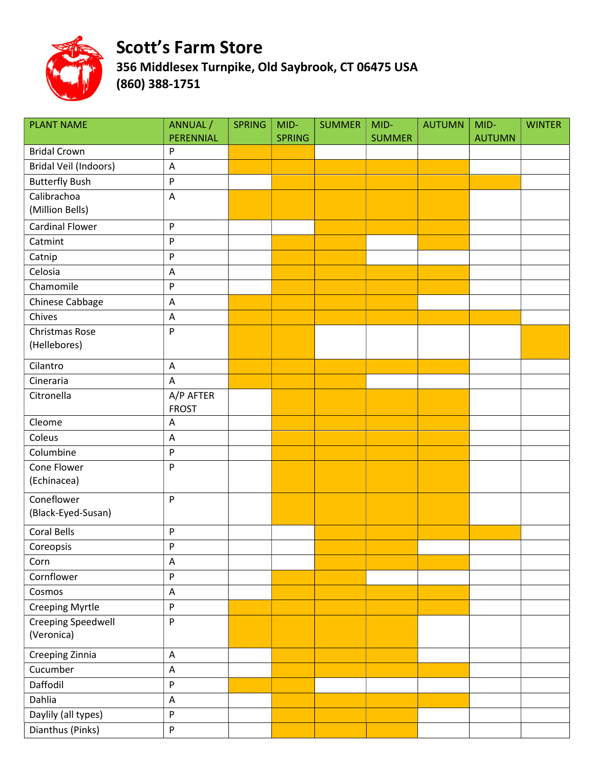

| <b>PLANT NAME</b>                       | ANNUAL /                  | <b>SPRING</b> | MID-          | <b>SUMMER</b> | MID-          | <b>AUTUMN</b> | MID-          | <b>WINTER</b> |
|-----------------------------------------|---------------------------|---------------|---------------|---------------|---------------|---------------|---------------|---------------|
| <b>Bridal Crown</b>                     | PERENNIAL                 |               | <b>SPRING</b> |               | <b>SUMMER</b> |               | <b>AUTUMN</b> |               |
|                                         | P                         |               |               |               |               |               |               |               |
| Bridal Veil (Indoors)                   | $\boldsymbol{\mathsf{A}}$ |               |               |               |               |               |               |               |
| <b>Butterfly Bush</b>                   | ${\sf P}$                 |               |               |               |               |               |               |               |
| Calibrachoa<br>(Million Bells)          | $\boldsymbol{\mathsf{A}}$ |               |               |               |               |               |               |               |
| <b>Cardinal Flower</b>                  | P                         |               |               |               |               |               |               |               |
| Catmint                                 | P                         |               |               |               |               |               |               |               |
| Catnip                                  | P                         |               |               |               |               |               |               |               |
| Celosia                                 | A                         |               |               |               |               |               |               |               |
| Chamomile                               | P                         |               |               |               |               |               |               |               |
| Chinese Cabbage                         | A                         |               |               |               |               |               |               |               |
| Chives                                  | $\boldsymbol{\mathsf{A}}$ |               |               |               |               |               |               |               |
| Christmas Rose<br>(Hellebores)          | P                         |               |               |               |               |               |               |               |
| Cilantro                                | A                         |               |               |               |               |               |               |               |
| Cineraria                               | A                         |               |               |               |               |               |               |               |
| Citronella                              | A/P AFTER<br><b>FROST</b> |               |               |               |               |               |               |               |
| Cleome                                  | A                         |               |               |               |               |               |               |               |
| Coleus                                  | $\boldsymbol{\mathsf{A}}$ |               |               |               |               |               |               |               |
| Columbine                               | ${\sf P}$                 |               |               |               |               |               |               |               |
| Cone Flower<br>(Echinacea)              | P                         |               |               |               |               |               |               |               |
| Coneflower<br>(Black-Eyed-Susan)        | P                         |               |               |               |               |               |               |               |
| <b>Coral Bells</b>                      | $\boldsymbol{\mathsf{P}}$ |               |               |               |               |               |               |               |
| Coreopsis                               | P                         |               |               |               |               |               |               |               |
| Corn                                    | $\mathsf A$               |               |               |               |               |               |               |               |
| Cornflower                              | ${\sf P}$                 |               |               |               |               |               |               |               |
| Cosmos                                  | A                         |               |               |               |               |               |               |               |
| Creeping Myrtle                         | ${\sf P}$                 |               |               |               |               |               |               |               |
| <b>Creeping Speedwell</b><br>(Veronica) | P                         |               |               |               |               |               |               |               |
| Creeping Zinnia                         | A                         |               |               |               |               |               |               |               |
| Cucumber                                | $\boldsymbol{\mathsf{A}}$ |               |               |               |               |               |               |               |
| Daffodil                                | P                         |               |               |               |               |               |               |               |
| Dahlia                                  | A                         |               |               |               |               |               |               |               |
| Daylily (all types)                     | $\boldsymbol{\mathsf{P}}$ |               |               |               |               |               |               |               |
| Dianthus (Pinks)                        | ${\sf P}$                 |               |               |               |               |               |               |               |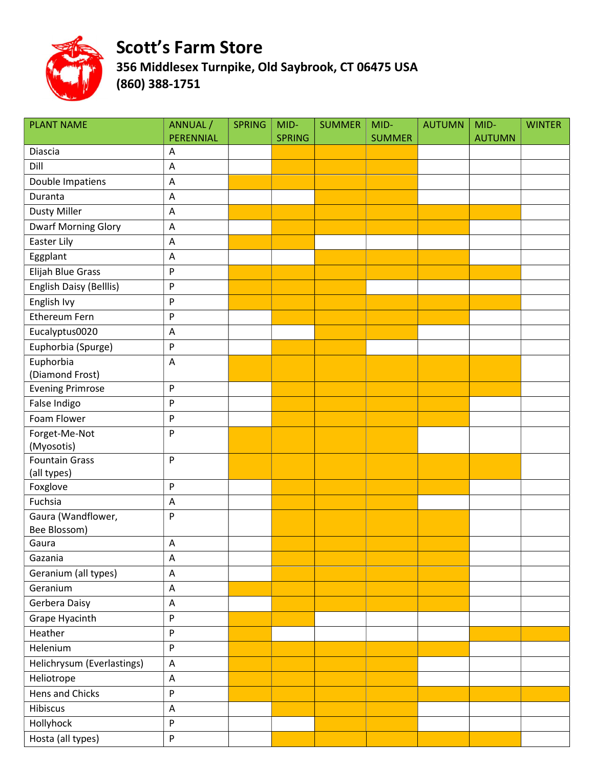

| <b>PLANT NAME</b>                   | ANNUAL /<br>PERENNIAL     | <b>SPRING</b> | MID-<br><b>SPRING</b> | <b>SUMMER</b> | MID-<br><b>SUMMER</b> | <b>AUTUMN</b> | MID-<br><b>AUTUMN</b> | <b>WINTER</b> |
|-------------------------------------|---------------------------|---------------|-----------------------|---------------|-----------------------|---------------|-----------------------|---------------|
| Diascia                             | Α                         |               |                       |               |                       |               |                       |               |
| Dill                                | A                         |               |                       |               |                       |               |                       |               |
| Double Impatiens                    | A                         |               |                       |               |                       |               |                       |               |
| Duranta                             | A                         |               |                       |               |                       |               |                       |               |
| <b>Dusty Miller</b>                 | A                         |               |                       |               |                       |               |                       |               |
| <b>Dwarf Morning Glory</b>          | A                         |               |                       |               |                       |               |                       |               |
| Easter Lily                         | A                         |               |                       |               |                       |               |                       |               |
| Eggplant                            | A                         |               |                       |               |                       |               |                       |               |
| Elijah Blue Grass                   | $\sf P$                   |               |                       |               |                       |               |                       |               |
| English Daisy (Belllis)             | ${\sf P}$                 |               |                       |               |                       |               |                       |               |
| English Ivy                         | $\sf P$                   |               |                       |               |                       |               |                       |               |
| Ethereum Fern                       | $\boldsymbol{\mathsf{P}}$ |               |                       |               |                       |               |                       |               |
| Eucalyptus0020                      | A                         |               |                       |               |                       |               |                       |               |
| Euphorbia (Spurge)                  | ${\sf P}$                 |               |                       |               |                       |               |                       |               |
| Euphorbia                           | A                         |               |                       |               |                       |               |                       |               |
| (Diamond Frost)                     |                           |               |                       |               |                       |               |                       |               |
| <b>Evening Primrose</b>             | $\sf P$                   |               |                       |               |                       |               |                       |               |
| False Indigo                        | P                         |               |                       |               |                       |               |                       |               |
| Foam Flower                         | $\boldsymbol{\mathsf{P}}$ |               |                       |               |                       |               |                       |               |
| Forget-Me-Not                       | P                         |               |                       |               |                       |               |                       |               |
| (Myosotis)<br><b>Fountain Grass</b> | ${\sf P}$                 |               |                       |               |                       |               |                       |               |
| (all types)                         |                           |               |                       |               |                       |               |                       |               |
| Foxglove                            | ${\sf P}$                 |               |                       |               |                       |               |                       |               |
| Fuchsia                             | $\boldsymbol{\mathsf{A}}$ |               |                       |               |                       |               |                       |               |
| Gaura (Wandflower,                  | P                         |               |                       |               |                       |               |                       |               |
| Bee Blossom)                        |                           |               |                       |               |                       |               |                       |               |
| Gaura                               | A                         |               |                       |               |                       |               |                       |               |
| Gazania                             | A                         |               |                       |               |                       |               |                       |               |
| Geranium (all types)                | A                         |               |                       |               |                       |               |                       |               |
| Geranium                            | A                         |               |                       |               |                       |               |                       |               |
| Gerbera Daisy                       | A                         |               |                       |               |                       |               |                       |               |
| Grape Hyacinth                      | ${\sf P}$                 |               |                       |               |                       |               |                       |               |
| Heather                             | $\sf P$                   |               |                       |               |                       |               |                       |               |
| Helenium                            | $\mathsf{P}$              |               |                       |               |                       |               |                       |               |
| Helichrysum (Everlastings)          | $\boldsymbol{\mathsf{A}}$ |               |                       |               |                       |               |                       |               |
| Heliotrope                          | $\boldsymbol{\mathsf{A}}$ |               |                       |               |                       |               |                       |               |
| Hens and Chicks                     | $\sf P$                   |               |                       |               |                       |               |                       |               |
| Hibiscus                            | A                         |               |                       |               |                       |               |                       |               |
| Hollyhock                           | P                         |               |                       |               |                       |               |                       |               |
| Hosta (all types)                   | $\boldsymbol{\mathsf{P}}$ |               |                       |               |                       |               |                       |               |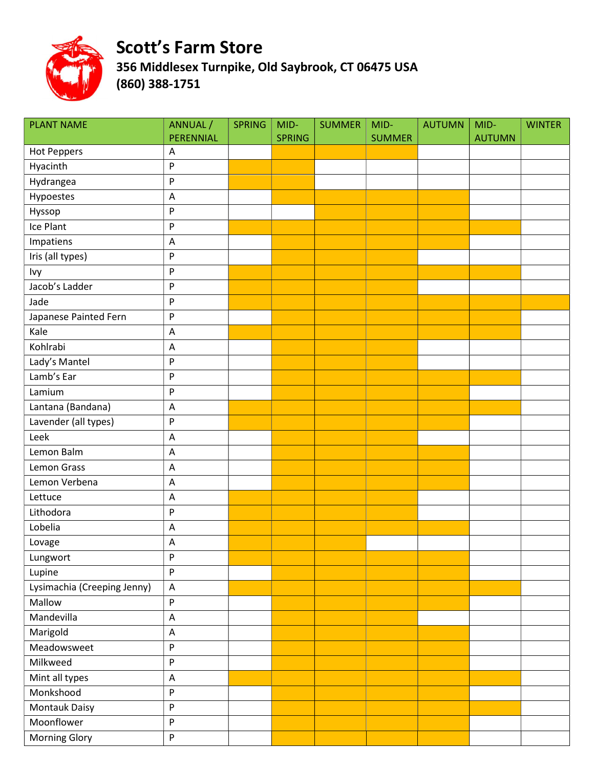

| <b>PLANT NAME</b>           | ANNUAL /<br>PERENNIAL                               | <b>SPRING</b> | MID-<br><b>SPRING</b> | <b>SUMMER</b> | MID-<br><b>SUMMER</b> | <b>AUTUMN</b> | MID-<br><b>AUTUMN</b> | <b>WINTER</b> |
|-----------------------------|-----------------------------------------------------|---------------|-----------------------|---------------|-----------------------|---------------|-----------------------|---------------|
| <b>Hot Peppers</b>          | Α                                                   |               |                       |               |                       |               |                       |               |
| Hyacinth                    | $\sf P$                                             |               |                       |               |                       |               |                       |               |
| Hydrangea                   | ${\sf P}$                                           |               |                       |               |                       |               |                       |               |
| Hypoestes                   | A                                                   |               |                       |               |                       |               |                       |               |
| Hyssop                      | $\boldsymbol{\mathsf{P}}$                           |               |                       |               |                       |               |                       |               |
| Ice Plant                   | ${\sf P}$                                           |               |                       |               |                       |               |                       |               |
| Impatiens                   | A                                                   |               |                       |               |                       |               |                       |               |
| Iris (all types)            | $\boldsymbol{\mathsf{P}}$                           |               |                       |               |                       |               |                       |               |
| Ivy                         | $\boldsymbol{\mathsf{P}}$                           |               |                       |               |                       |               |                       |               |
| Jacob's Ladder              | ${\sf P}$                                           |               |                       |               |                       |               |                       |               |
| Jade                        | ${\sf P}$                                           |               |                       |               |                       |               |                       |               |
| Japanese Painted Fern       | ${\sf P}$                                           |               |                       |               |                       |               |                       |               |
| Kale                        | A                                                   |               |                       |               |                       |               |                       |               |
| Kohlrabi                    | A                                                   |               |                       |               |                       |               |                       |               |
| Lady's Mantel               | $\boldsymbol{\mathsf{P}}$                           |               |                       |               |                       |               |                       |               |
| Lamb's Ear                  | $\boldsymbol{\mathsf{P}}$                           |               |                       |               |                       |               |                       |               |
| Lamium                      | P                                                   |               |                       |               |                       |               |                       |               |
| Lantana (Bandana)           | A                                                   |               |                       |               |                       |               |                       |               |
| Lavender (all types)        | $\mathsf{P}$                                        |               |                       |               |                       |               |                       |               |
| Leek                        | $\boldsymbol{\mathsf{A}}$                           |               |                       |               |                       |               |                       |               |
| Lemon Balm                  | $\mathsf{A}$                                        |               |                       |               |                       |               |                       |               |
| Lemon Grass                 | $\overline{\mathsf{A}}$                             |               |                       |               |                       |               |                       |               |
| Lemon Verbena               | A                                                   |               |                       |               |                       |               |                       |               |
| Lettuce                     | A                                                   |               |                       |               |                       |               |                       |               |
| Lithodora                   | $\boldsymbol{\mathsf{P}}$                           |               |                       |               |                       |               |                       |               |
| Lobelia                     | A                                                   |               |                       |               |                       |               |                       |               |
| Lovage                      | A                                                   |               |                       |               |                       |               |                       |               |
| Lungwort                    | P                                                   |               |                       |               |                       |               |                       |               |
| Lupine                      | $\mathsf{P}% _{0}\left( \mathsf{P}_{0}\right) ^{T}$ |               |                       |               |                       |               |                       |               |
| Lysimachia (Creeping Jenny) | $\boldsymbol{\mathsf{A}}$                           |               |                       |               |                       |               |                       |               |
| Mallow                      | $\boldsymbol{\mathsf{P}}$                           |               |                       |               |                       |               |                       |               |
| Mandevilla                  | $\boldsymbol{\mathsf{A}}$                           |               |                       |               |                       |               |                       |               |
| Marigold                    | A                                                   |               |                       |               |                       |               |                       |               |
| Meadowsweet                 | $\mathsf{P}% _{0}\left( \mathsf{P}_{0}\right) ^{T}$ |               |                       |               |                       |               |                       |               |
| Milkweed                    | $\boldsymbol{\mathsf{P}}$                           |               |                       |               |                       |               |                       |               |
| Mint all types              | A                                                   |               |                       |               |                       |               |                       |               |
| Monkshood                   | $\boldsymbol{\mathsf{P}}$                           |               |                       |               |                       |               |                       |               |
| Montauk Daisy               | $\boldsymbol{\mathsf{P}}$                           |               |                       |               |                       |               |                       |               |
| Moonflower                  | $\boldsymbol{\mathsf{P}}$                           |               |                       |               |                       |               |                       |               |
| <b>Morning Glory</b>        | $\boldsymbol{\mathsf{P}}$                           |               |                       |               |                       |               |                       |               |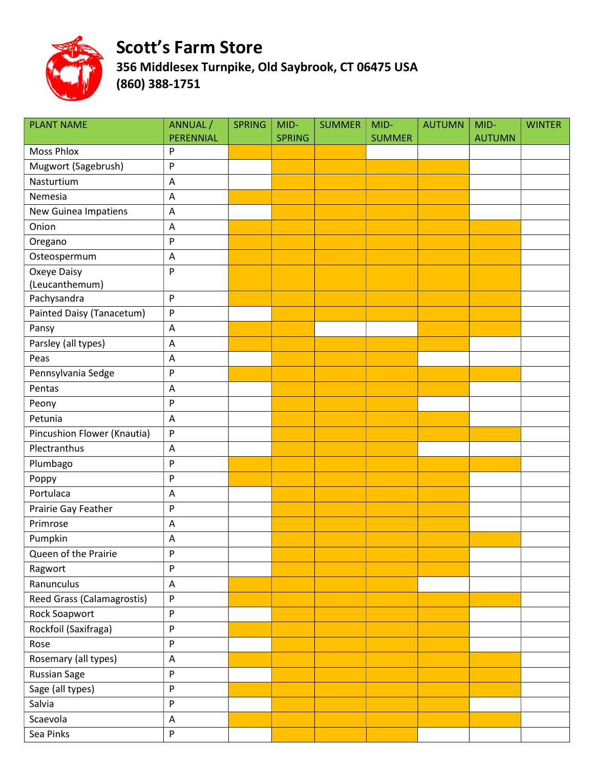

| <b>PLANT NAME</b>           | ANNUAL /<br>PERENNIAL     | <b>SPRING</b> | MID-<br><b>SPRING</b> | <b>SUMMER</b> | MID-<br><b>SUMMER</b> | <b>AUTUMN</b> | MID-<br><b>AUTUMN</b> | <b>WINTER</b> |
|-----------------------------|---------------------------|---------------|-----------------------|---------------|-----------------------|---------------|-----------------------|---------------|
| <b>Moss Phlox</b>           | P                         |               |                       |               |                       |               |                       |               |
| Mugwort (Sagebrush)         | P                         |               |                       |               |                       |               |                       |               |
| Nasturtium                  | A                         |               |                       |               |                       |               |                       |               |
| Nemesia                     | A                         |               |                       |               |                       |               |                       |               |
| New Guinea Impatiens        | A                         |               |                       |               |                       |               |                       |               |
| Onion                       | A                         |               |                       |               |                       |               |                       |               |
| Oregano                     | P                         |               |                       |               |                       |               |                       |               |
| Osteospermum                | $\boldsymbol{\mathsf{A}}$ |               |                       |               |                       |               |                       |               |
| Oxeye Daisy                 | P                         |               |                       |               |                       |               |                       |               |
| (Leucanthemum)              |                           |               |                       |               |                       |               |                       |               |
| Pachysandra                 | $\boldsymbol{\mathsf{P}}$ |               |                       |               |                       |               |                       |               |
| Painted Daisy (Tanacetum)   | P                         |               |                       |               |                       |               |                       |               |
| Pansy                       | A                         |               |                       |               |                       |               |                       |               |
| Parsley (all types)         | A                         |               |                       |               |                       |               |                       |               |
| Peas                        | A                         |               |                       |               |                       |               |                       |               |
| Pennsylvania Sedge          | P                         |               |                       |               |                       |               |                       |               |
| Pentas                      | A                         |               |                       |               |                       |               |                       |               |
| Peony                       | P                         |               |                       |               |                       |               |                       |               |
| Petunia                     | $\boldsymbol{\mathsf{A}}$ |               |                       |               |                       |               |                       |               |
| Pincushion Flower (Knautia) | P                         |               |                       |               |                       |               |                       |               |
| Plectranthus                | A                         |               |                       |               |                       |               |                       |               |
| Plumbago                    | P                         |               |                       |               |                       |               |                       |               |
| Poppy                       | P                         |               |                       |               |                       |               |                       |               |
| Portulaca                   | A                         |               |                       |               |                       |               |                       |               |
| Prairie Gay Feather         | P                         |               |                       |               |                       |               |                       |               |
| Primrose                    | A                         |               |                       |               |                       |               |                       |               |
| Pumpkin                     | Α                         |               |                       |               |                       |               |                       |               |
| Queen of the Prairie        | $\boldsymbol{\mathsf{P}}$ |               |                       |               |                       |               |                       |               |
| Ragwort                     | P                         |               |                       |               |                       |               |                       |               |
| Ranunculus                  | $\mathsf A$               |               |                       |               |                       |               |                       |               |
| Reed Grass (Calamagrostis)  | P                         |               |                       |               |                       |               |                       |               |
| Rock Soapwort               | P                         |               |                       |               |                       |               |                       |               |
| Rockfoil (Saxifraga)        | ${\sf P}$                 |               |                       |               |                       |               |                       |               |
| Rose                        | ${\sf P}$                 |               |                       |               |                       |               |                       |               |
| Rosemary (all types)        | $\mathsf A$               |               |                       |               |                       |               |                       |               |
| Russian Sage                | ${\sf P}$                 |               |                       |               |                       |               |                       |               |
| Sage (all types)            | P                         |               |                       |               |                       |               |                       |               |
| Salvia                      | P                         |               |                       |               |                       |               |                       |               |
| Scaevola                    | A                         |               |                       |               |                       |               |                       |               |
| Sea Pinks                   | P                         |               |                       |               |                       |               |                       |               |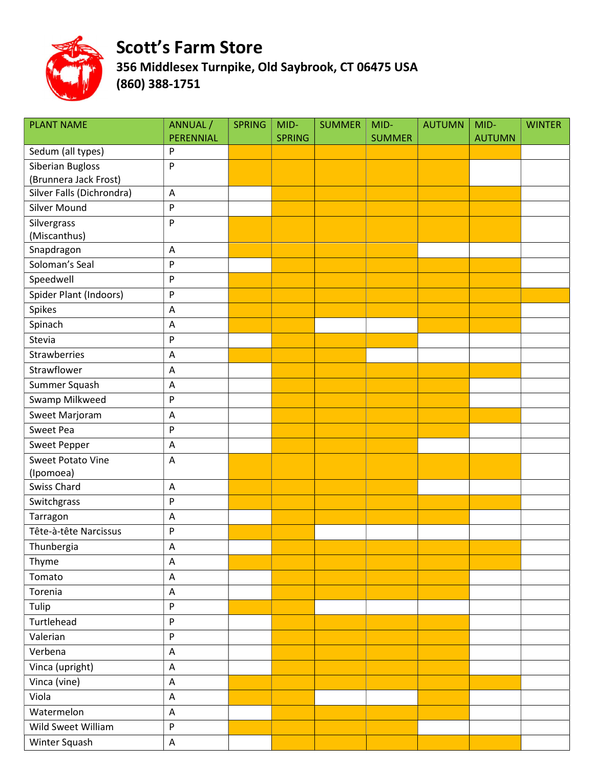

| <b>PLANT NAME</b>                                | ANNUAL /                  | <b>SPRING</b> | MID-          | <b>SUMMER</b> | MID-          | <b>AUTUMN</b> | MID-          | <b>WINTER</b> |
|--------------------------------------------------|---------------------------|---------------|---------------|---------------|---------------|---------------|---------------|---------------|
|                                                  | PERENNIAL                 |               | <b>SPRING</b> |               | <b>SUMMER</b> |               | <b>AUTUMN</b> |               |
| Sedum (all types)                                | P                         |               |               |               |               |               |               |               |
| Siberian Bugloss                                 | P                         |               |               |               |               |               |               |               |
| (Brunnera Jack Frost)                            |                           |               |               |               |               |               |               |               |
| Silver Falls (Dichrondra)<br><b>Silver Mound</b> | A                         |               |               |               |               |               |               |               |
|                                                  | ${\sf P}$                 |               |               |               |               |               |               |               |
| Silvergrass                                      | P                         |               |               |               |               |               |               |               |
| (Miscanthus)<br>Snapdragon                       | A                         |               |               |               |               |               |               |               |
| Soloman's Seal                                   | P                         |               |               |               |               |               |               |               |
| Speedwell                                        | P                         |               |               |               |               |               |               |               |
|                                                  |                           |               |               |               |               |               |               |               |
| Spider Plant (Indoors)                           | P                         |               |               |               |               |               |               |               |
| Spikes                                           | A                         |               |               |               |               |               |               |               |
| Spinach                                          | A                         |               |               |               |               |               |               |               |
| Stevia                                           | P                         |               |               |               |               |               |               |               |
| Strawberries                                     | A                         |               |               |               |               |               |               |               |
| Strawflower                                      | A                         |               |               |               |               |               |               |               |
| Summer Squash                                    | $\mathsf A$               |               |               |               |               |               |               |               |
| Swamp Milkweed                                   | P                         |               |               |               |               |               |               |               |
| Sweet Marjoram                                   | A                         |               |               |               |               |               |               |               |
| Sweet Pea                                        | P                         |               |               |               |               |               |               |               |
| <b>Sweet Pepper</b>                              | A                         |               |               |               |               |               |               |               |
| <b>Sweet Potato Vine</b>                         | $\overline{A}$            |               |               |               |               |               |               |               |
| (Ipomoea)                                        |                           |               |               |               |               |               |               |               |
| <b>Swiss Chard</b>                               | A                         |               |               |               |               |               |               |               |
| Switchgrass                                      | P                         |               |               |               |               |               |               |               |
| Tarragon                                         | A                         |               |               |               |               |               |               |               |
| Tête-à-tête Narcissus                            | P                         |               |               |               |               |               |               |               |
| Thunbergia                                       | Α                         |               |               |               |               |               |               |               |
| Thyme                                            | A                         |               |               |               |               |               |               |               |
| Tomato                                           | $\boldsymbol{\mathsf{A}}$ |               |               |               |               |               |               |               |
| Torenia                                          | A                         |               |               |               |               |               |               |               |
| Tulip                                            | P                         |               |               |               |               |               |               |               |
| Turtlehead                                       | P                         |               |               |               |               |               |               |               |
| Valerian                                         | ${\sf P}$                 |               |               |               |               |               |               |               |
| Verbena                                          | $\boldsymbol{\mathsf{A}}$ |               |               |               |               |               |               |               |
| Vinca (upright)                                  | $\mathsf A$               |               |               |               |               |               |               |               |
| Vinca (vine)                                     | A                         |               |               |               |               |               |               |               |
| Viola                                            | $\boldsymbol{\mathsf{A}}$ |               |               |               |               |               |               |               |
| Watermelon                                       | $\boldsymbol{\mathsf{A}}$ |               |               |               |               |               |               |               |
| Wild Sweet William                               | ${\sf P}$                 |               |               |               |               |               |               |               |
| Winter Squash                                    | $\mathsf A$               |               |               |               |               |               |               |               |